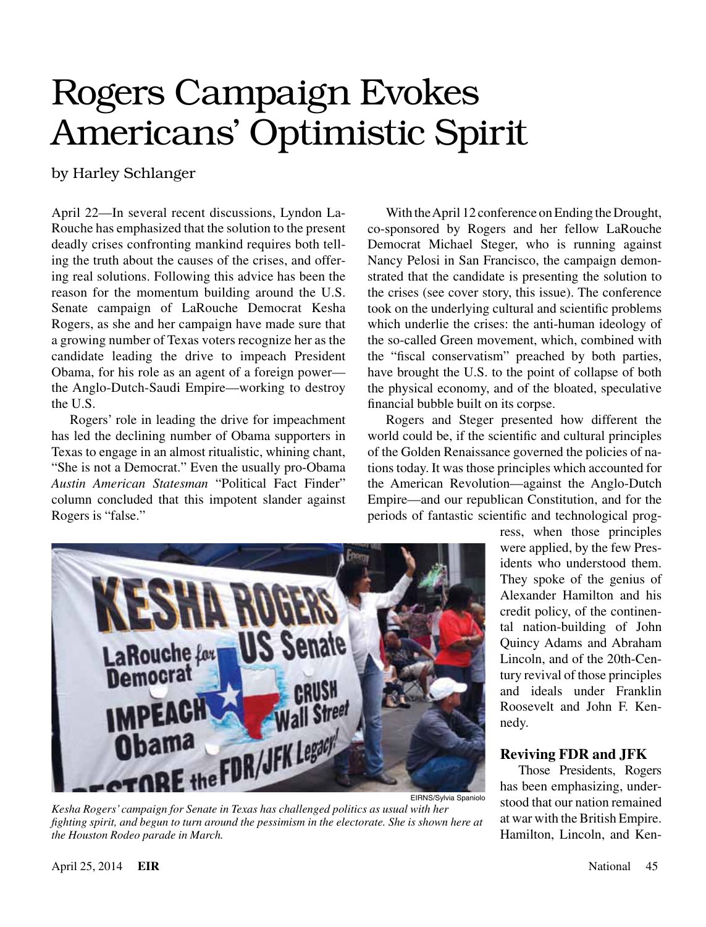## Rogers Campaign Evokes Americans' Optimistic Spirit

by Harley Schlanger

April 22—In several recent discussions, Lyndon La-Rouche has emphasized that the solution to the present deadly crises confronting mankind requires both telling the truth about the causes of the crises, and offering real solutions. Following this advice has been the reason for the momentum building around the U.S. Senate campaign of LaRouche Democrat Kesha Rogers, as she and her campaign have made sure that a growing number of Texas voters recognize her as the candidate leading the drive to impeach President Obama, for his role as an agent of a foreign power the Anglo-Dutch-Saudi Empire—working to destroy the U.S.

Rogers' role in leading the drive for impeachment has led the declining number of Obama supporters in Texas to engage in an almost ritualistic, whining chant, "She is not a Democrat." Even the usually pro-Obama *Austin American Statesman* "Political Fact Finder" column concluded that this impotent slander against Rogers is "false."

With the April 12 conference on Ending the Drought, co-sponsored by Rogers and her fellow LaRouche Democrat Michael Steger, who is running against Nancy Pelosi in San Francisco, the campaign demonstrated that the candidate is presenting the solution to the crises (see cover story, this issue). The conference took on the underlying cultural and scientific problems which underlie the crises: the anti-human ideology of the so-called Green movement, which, combined with the "fiscal conservatism" preached by both parties, have brought the U.S. to the point of collapse of both the physical economy, and of the bloated, speculative financial bubble built on its corpse.

Rogers and Steger presented how different the world could be, if the scientific and cultural principles of the Golden Renaissance governed the policies of nations today. It was those principles which accounted for the American Revolution—against the Anglo-Dutch Empire—and our republican Constitution, and for the periods of fantastic scientific and technological prog-



*Kesha Rogers' campaign for Senate in Texas has challenged politics as usual with her fighting spirit, and begun to turn around the pessimism in the electorate. She is shown here at the Houston Rodeo parade in March.*

ress, when those principles were applied, by the few Presidents who understood them. They spoke of the genius of Alexander Hamilton and his credit policy, of the continental nation-building of John Quincy Adams and Abraham Lincoln, and of the 20th-Century revival of those principles and ideals under Franklin Roosevelt and John F. Kennedy.

## **Reviving FDR and JFK**

Those Presidents, Rogers has been emphasizing, understood that our nation remained at war with the British Empire. Hamilton, Lincoln, and Ken-